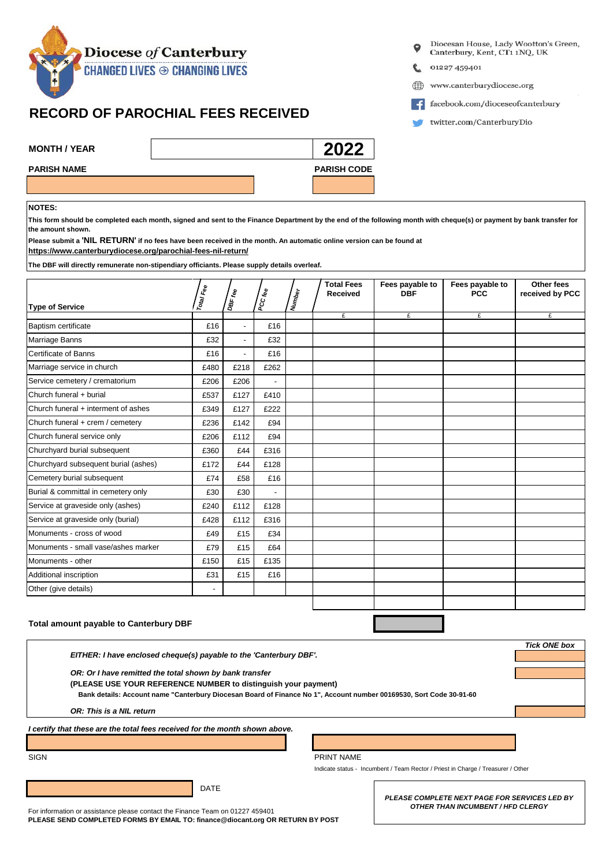

## **RECORD OF PAROCHIAL FEES RECEIVED**

- Diocesan House, Lady Wootton's Green, Canterbury, Kent, CT1 1NQ, UK
- 01227 459401
- www.canterburydiocese.org ⊕
- facebook.com/dioceseofcanterbury
- twitter.com/CanterburyDio

| <b>MONTH / YEAR</b> |  | 2022               |
|---------------------|--|--------------------|
| <b>PARISH NAME</b>  |  | <b>PARISH CODE</b> |
|                     |  |                    |

## **NOTES:**

**This form should be completed each month, signed and sent to the Finance Department by the end of the following month with cheque(s) or payment by bank transfer for the amount shown.**

**[https://www.canterburydiocese.or](https://www.canterburydiocese.org/parochial-fees-nil-return/)g/parochial-fees-nil-return/ Please submit a 'NIL RETURN' if no fees have been received in the month. An automatic online version can be found at**

**The DBF will directly remunerate non-stipendiary officiants. Please supply details overleaf.**

| <b>Type of Service</b>               | Total Fee                | DBF fee        | PCC fee                  | <b>Number</b> | <b>Total Fees</b><br><b>Received</b> | Fees payable to<br><b>DBF</b> | Fees payable to<br><b>PCC</b> | Other fees<br>received by PCC |
|--------------------------------------|--------------------------|----------------|--------------------------|---------------|--------------------------------------|-------------------------------|-------------------------------|-------------------------------|
|                                      |                          |                |                          |               | £                                    | £                             | £                             | £                             |
| <b>Baptism certificate</b>           | £16                      | $\blacksquare$ | £16                      |               |                                      |                               |                               |                               |
| Marriage Banns                       | £32                      | $\overline{a}$ | £32                      |               |                                      |                               |                               |                               |
| Certificate of Banns                 | £16                      | $\overline{a}$ | £16                      |               |                                      |                               |                               |                               |
| Marriage service in church           | £480                     | £218           | £262                     |               |                                      |                               |                               |                               |
| Service cemetery / crematorium       | £206                     | £206           | $\overline{a}$           |               |                                      |                               |                               |                               |
| Church funeral + burial              | £537                     | £127           | £410                     |               |                                      |                               |                               |                               |
| Church funeral + interment of ashes  | £349                     | £127           | £222                     |               |                                      |                               |                               |                               |
| Church funeral + crem / cemetery     | £236                     | £142           | £94                      |               |                                      |                               |                               |                               |
| Church funeral service only          | £206                     | £112           | £94                      |               |                                      |                               |                               |                               |
| Churchyard burial subsequent         | £360                     | £44            | £316                     |               |                                      |                               |                               |                               |
| Churchyard subsequent burial (ashes) | £172                     | £44            | £128                     |               |                                      |                               |                               |                               |
| Cemetery burial subsequent           | £74                      | £58            | £16                      |               |                                      |                               |                               |                               |
| Burial & committal in cemetery only  | £30                      | £30            | $\overline{\phantom{a}}$ |               |                                      |                               |                               |                               |
| Service at graveside only (ashes)    | £240                     | £112           | £128                     |               |                                      |                               |                               |                               |
| Service at graveside only (burial)   | £428                     | £112           | £316                     |               |                                      |                               |                               |                               |
| Monuments - cross of wood            | £49                      | £15            | £34                      |               |                                      |                               |                               |                               |
| Monuments - small vase/ashes marker  | £79                      | £15            | £64                      |               |                                      |                               |                               |                               |
| Monuments - other                    | £150                     | £15            | £135                     |               |                                      |                               |                               |                               |
| Additional inscription               | £31                      | £15            | £16                      |               |                                      |                               |                               |                               |
| Other (give details)                 | $\overline{\phantom{a}}$ |                |                          |               |                                      |                               |                               |                               |
|                                      |                          |                |                          |               |                                      |                               |                               |                               |

## **Total amount payable to Canterbury DBF**

 *OR: Or I have remitted the total shown by bank transfer*

 **(PLEASE USE YOUR REFERENCE NUMBER to distinguish your payment)**

 **Bank details: Account name "Canterbury Diocesan Board of Finance No 1", Account number 00169530, Sort Code 30-91-60**

 *OR: This is a NIL return*

*I certify that these are the total fees received for the month shown above.*

SIGN PRINT NAME

Indicate status - Incumbent / Team Rector / Priest in Charge / Treasurer / Other

DATE

For information or assistance please contact the Finance Team on 01227 459401 **PLEASE SEND COMPLETED FORMS BY EMAIL TO: finance@diocant.org OR RETURN BY POST** *PLEASE COMPLETE NEXT PAGE FOR SERVICES LED BY OTHER THAN INCUMBENT / HFD CLERGY*

*Tick ONE box*